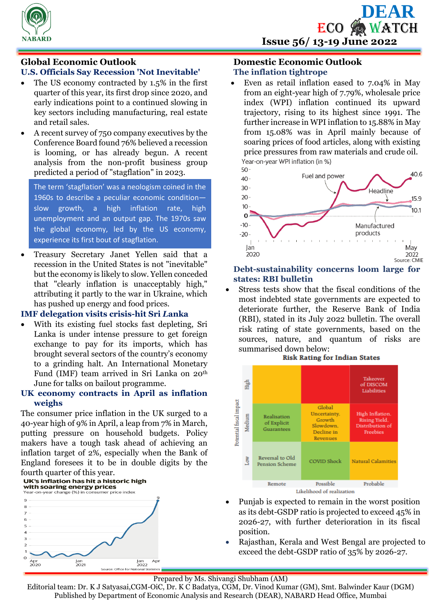



# **Global Economic Outlook**

# **U.S. Officials Say Recession 'Not Inevitable'**

- The US economy contracted by 1.5% in the first quarter of this year, its first drop since 2020, and early indications point to a continued slowing in key sectors including manufacturing, real estate and retail sales.
- A recent survey of 750 company executives by the Conference Board found 76% believed a recession is looming, or has already begun. A recent analysis from the non-profit business group predicted a period of "stagflation" in 2023.

The term 'stagflation' was a neologism coined in the 1960s to describe a peculiar economic condition slow growth, a high inflation rate, high unemployment and an output gap. The 1970s saw the global economy, led by the US economy, experience its first bout of stagflation.

 Treasury Secretary Janet Yellen said that a recession in the United States is not "inevitable" but the economy is likely to slow. Yellen conceded that "clearly inflation is unacceptably high," attributing it partly to the war in Ukraine, which has pushed up energy and food prices.

#### **IMF delegation visits crisis-hit Sri** *L***anka**

 With its existing fuel stocks fast depleting, Sri Lanka is under intense pressure to get foreign exchange to pay for its imports, which has brought several sectors of the country's economy to a grinding halt. An International Monetary Fund (IMF) team arrived in Sri Lanka on 20th June for talks on bailout programme.

# **UK economy contracts in April as inflation weighs**

The consumer price inflation in the UK surged to a 40-year high of 9% in April, a leap from 7% in March, putting pressure on household budgets. Policy makers have a tough task ahead of achieving an inflation target of 2%, especially when the Bank of England foresees it to be in double digits by the fourth quarter of this year.<br>UK's inflation has hit a historic high

#### with soaring energy prices Year-on-year change (%) in consumer price index



#### **Domestic Economic Outlook The inflation tightrope**

 Even as retail inflation eased to 7.04% in May from an eight-year high of 7.79%, wholesale price index (WPI) inflation continued its upward trajectory, rising to its highest since 1991. The further increase in WPI inflation to 15.88% in May from 15.08% was in April mainly because of soaring prices of food articles, along with existing price pressures from raw materials and crude oil. Year-on-year WPI inflation (in %)



#### **Debt-sustainability concerns loom large for states: RBI bulletin**

 Stress tests show that the fiscal conditions of the most indebted state governments are expected to deteriorate further, the Reserve Bank of India (RBI), stated in its July 2022 bulletin. The overall risk rating of state governments, based on the sources, nature, and quantum of risks are summarised down below:



- Punjab is expected to remain in the worst position as its debt-GSDP ratio is projected to exceed 45% in 2026-27, with further deterioration in its fiscal position.
- Rajasthan, Kerala and West Bengal are projected to exceed the debt-GSDP ratio of 35% by 2026-27.

#### Prepared by Ms. Shivangi Shubham (AM)

Editorial team: Dr. K J Satyasai,CGM-OiC, Dr. K C Badatya, CGM, Dr. Vinod Kumar (GM), Smt. Balwinder Kaur (DGM) Published by Department of Economic Analysis and Research (DEAR), NABARD Head Office, Mumbai